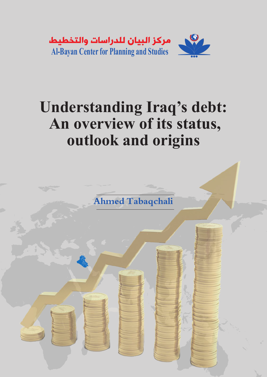

# **Understanding Iraq's debt: An overview of its status, outlook and origins**



爱人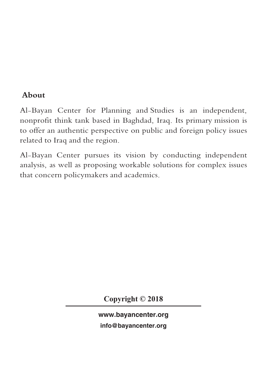# **About**

Al-Bayan Center for Planning and Studies is an independent, nonprofit think tank based in Baghdad, Iraq. Its primary mission is to offer an authentic perspective on public and foreign policy issues related to Iraq and the region.

Al-Bayan Center pursues its vision by conducting independent analysis, as well as proposing workable solutions for complex issues that concern policymakers and academics.

**Copyright © 2018**

www.bayancenter.org info@bayancenter.org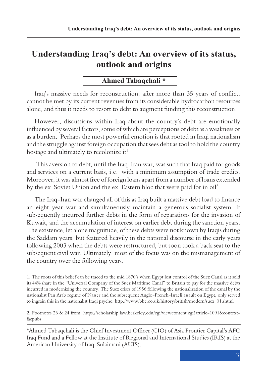# **Understanding Iraq's debt: An overview of its status, outlook and origins**

# **Ahmed Tabaqchali \***

Iraq's massive needs for reconstruction, after more than 35 years of conflict, cannot be met by its current revenues from its considerable hydrocarbon resources alone, and thus it needs to resort to debt to augment funding this reconstruction.

However, discussions within Iraq about the country's debt are emotionally influenced by several factors, some of which are perceptions of debt as a weakness or as a burden. Perhaps the most powerful emotion is that rooted in Iraqi nationalism and the struggle against foreign occupation that sees debt as tool to hold the country hostage and ultimately to recolonize  $it^1$ .

 This aversion to debt, until the Iraq-Iran war, was such that Iraq paid for goods and services on a current basis, i.e. with a minimum assumption of trade credits. Moreover, it was almost free of foreign loans apart from a number of loans extended by the ex-Soviet Union and the ex-Eastern bloc that were paid for in oil2 .

The Iraq-Iran war changed all of this as Iraq built a massive debt load to finance an eight-year war and simultaneously maintain a generous socialist system. It subsequently incurred further debts in the form of reparations for the invasion of Kuwait, and the accumulation of interest on earlier debt during the sanction years. The existence, let alone magnitude, of these debts were not known by Iraqis during the Saddam years, but featured heavily in the national discourse in the early years following 2003 when the debts were restructured, but soon took a back seat to the subsequent civil war. Ultimately, most of the focus was on the mismanagement of the country over the following years.

<sup>1.</sup> The roots of this belief can be traced to the mid 1870's when Egypt lost control of the Suez Canal as it sold its 44% share in the "Universal Company of the Suez Maritime Canal" to Britain to pay for the massive debts incurred in modernizing the country. The Suez crises of 1956 following the nationalization of the canal by the nationalist Pan Arab regime of Nasser and the subsequent Anglo-French-Israeli assault on Egypt, only served to ingrain this in the nationalist Iraqi psyche. http://www.bbc.co.uk/history/british/modern/suez\_01.shtml

<sup>2.</sup> Footnotes 23 & 24 from: https://scholarship.law.berkeley.edu/cgi/viewcontent.cgi?article=1091&context= facpubs

<sup>\*</sup>Ahmed Tabaqchali is the Chief Investment Officer (CIO) of Asia Frontier Capital's AFC Iraq Fund and a Fellow at the Institute of Regional and International Studies (IRIS) at the American University of Iraq-Sulaimani (AUIS).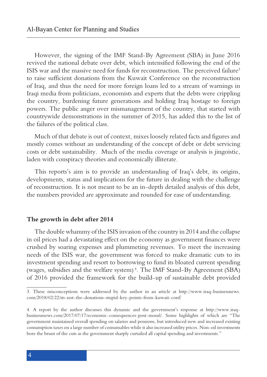However, the signing of the IMF Stand-By Agreement (SBA) in June 2016 revived the national debate over debt, which intensified following the end of the ISIS war and the massive need for funds for reconstruction. The perceived failure<sup>3</sup> to raise sufficient donations from the Kuwait Conference on the reconstruction of Iraq, and thus the need for more foreign loans led to a stream of warnings in Iraqi media from politicians, economists and experts that the debts were crippling the country, burdening future generations and holding Iraq hostage to foreign powers. The public anger over mismanagement of the country, that started with countrywide demonstrations in the summer of 2015, has added this to the list of the failures of the political class.

Much of that debate is out of context, mixes loosely related facts and figures and mostly comes without an understanding of the concept of debt or debt servicing costs or debt sustainability. Much of the media coverage or analysis is jingoistic, laden with conspiracy theories and economically illiterate.

This reports's aim is to provide an understanding of Iraq's debt, its origins, developments, status and implications for the future in dealing with the challenge of reconstruction. It is not meant to be an in-depth detailed analysis of this debt, the numbers provided are approximate and rounded for ease of understanding.

#### **The growth in debt after 2014**

The double whammy of the ISIS invasion of the country in 2014 and the collapse in oil prices had a devastating effect on the economy as government finances were crushed by soaring expenses and plummeting revenues. To meet the increasing needs of the ISIS war, the government was forced to make dramatic cuts to its investment spending and resort to borrowing to fund its bloated current spending (wages, subsidies and the welfare system) <sup>4</sup> . The IMF Stand-By Agreement (SBA) of 2016 provided the framework for the build-up of sustainable debt provided

<sup>3.</sup> These misconceptions were addressed by the author in an article at http://www.iraq-businessnews. com/2018/02/22/its-not-the-donations-stupid-key-points-from-kuwait-conf/

<sup>4.</sup> A report by the author discusses this dynamic and the government's response at http://www.iraqbusinessnews.com/2017/07/17/economic-consequences-post-mosul/. Some highlights of which are "The government maintained overall spending on salaries and pensions, but introduced new and increased existing consumption taxes on a large number of consumables while it also increased utility prices. Non-oil investments bore the brunt of the cuts as the government sharply curtailed all capital spending and investments."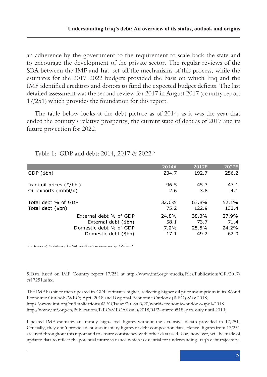an adherence by the government to the requirement to scale back the state and to encourage the development of the private sector. The regular reviews of the SBA between the IMF and Iraq set off the mechanisms of this process, while the estimates for the 2017-2022 budgets provided the basis on which Iraq and the IMF identified creditors and donors to fund the expected budget deficits. The last detailed assessment was the second review for 2017 in August 2017 (country report 17/251) which provides the foundation for this report.

The table below looks at the debt picture as of 2014, as it was the year that ended the country's relative prosperity, the current state of debt as of 2017 and its future projection for 2022.

|                           | 2014A | 2017E | 2022E |
|---------------------------|-------|-------|-------|
| GDP (\$bn)                | 234.7 | 192.7 | 256.2 |
| Iraqi oil prices (\$/bbl) | 96.5  | 45.3  | 47.1  |
| Oil exports (mbbl/d)      | 2.6   | 3.8   | 4.1   |
| Total debt % of GDP       | 32.0% | 63.8% | 52.1% |
| Total debt (\$bn)         | 75.2  | 122.9 | 133.4 |
| External debt % of GDP    | 24.8% | 38.3% | 27.9% |
| External debt (\$bn)      | 58.1  | 73.7  | 71.4  |
| Domestic debt % of GDP    | 7.2%  | 25.5% | 24.2% |
| Domestic debt (\$bn)      | 17.1  | 49.2  | 62.0  |

Table 1: GDP and debt: 2014, 2017 & 2022 5

 $A = Announced, E = Estimates, S = USD, mbbl/d = million\,barels per day, bbl = barrel$ 

<sup>5.</sup>Data based on IMF Country report 17/251 at http://www.imf.org/~/media/Files/Publications/CR/2017/ cr17251.ashx.

The IMF has since then updated its GDP estimates higher, reflecting higher oil price assumptions in its World Economic Outlook (WEO) April 2018 and Regional Economic Outlook (REO) May 2018: https://www.imf.org/en/Publications/WEO/Issues/2018/03/20/world-economic-outlook-april-2018 http://www.imf.org/en/Publications/REO/MECA/Issues/2018/04/24/mreo0518 (data only until 2019)

Updated IMF estimates are mostly high-level figures without the extensive details provided in 17/251. Crucially, they don't provide debt sustainability figures or debt composition data. Hence, figures from 17/251 are used throughout this report and to ensure consistency with other data used. Use, however, will be made of updated data to reflect the potential future variance which is essential for understanding Iraq's debt trajectory.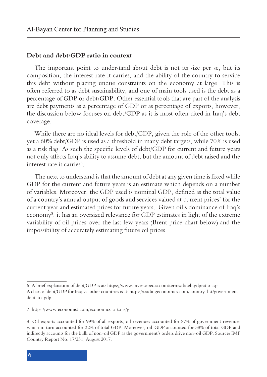#### **Debt and debt/GDP ratio in context**

The important point to understand about debt is not its size per se, but its composition, the interest rate it carries, and the ability of the country to service this debt without placing undue constraints on the economy at large. This is often referred to as debt sustainability, and one of main tools used is the debt as a percentage of GDP or debt/GDP. Other essential tools that are part of the analysis are debt payments as a percentage of GDP or as percentage of exports, however, the discussion below focuses on debt/GDP as it is most often cited in Iraq's debt coverage.

While there are no ideal levels for debt/GDP, given the role of the other tools, yet a 60% debt/GDP is used as a threshold in many debt targets, while 70% is used as a risk flag. As such the specific levels of debt/GDP for current and future years not only affects Iraq's ability to assume debt, but the amount of debt raised and the interest rate it carries<sup>6</sup>.

The next to understand is that the amount of debt at any given time is fixed while GDP for the current and future years is an estimate which depends on a number of variables. Moreover, the GDP used is nominal GDP, defined as the total value of a country's annual output of goods and services valued at current prices<sup>7</sup> for the current year and estimated prices for future years. Given oil's dominance of Iraq's economy8 , it has an oversized relevance for GDP estimates in light of the extreme variability of oil prices over the last few years (Brent price chart below) and the impossibility of accurately estimating future oil prices.

<sup>6.</sup> A brief explanation of debt/GDP is at: https://www.investopedia.com/terms/d/debtgdpratio.asp A chart of debt/GDP for Iraq vs. other countries is at: https://tradingeconomics.com/country-list/governmentdebt-to-gdp

<sup>7.</sup> https://www.economist.com/economics-a-to-z/g

<sup>8.</sup> Oil exports accounted for 99% of all exports, oil revenues accounted for 87% of government revenues which in turn accounted for 32% of total GDP. Moreover, oil-GDP accounted for 38% of total GDP and indirectly accounts for the bulk of non-oil GDP as the government's orders drive non-oil GDP. Source: IMF Country Report No. 17/251, August 2017.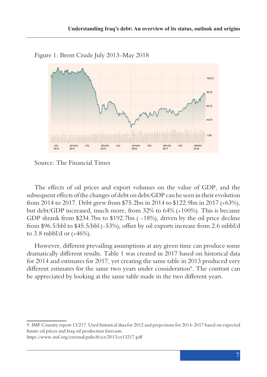

Figure 1: Brent Crude July 2013-May 2018

Source: The Financial Times

The effects of oil prices and export volumes on the value of GDP, and the subsequent effects of the changes of debt on debt/GDP can be seen in their evolution from 2014 to 2017. Debt grew from \$75.2bn in 2014 to \$122.9bn in 2017 (+63%), but debt/GDP increased, much more, from 32% to 64% (+100%). This is because GDP shrank from \$234.7bn to \$192.7bn ( -18%), driven by the oil price decline from \$96.5/bbl to \$45.5/bbl (-53%), offset by oil exports increase from 2.6 mbbl/d to 3.8 mbbl/d or (+46%).

However, different prevailing assumptions at any given time can produce some dramatically different results. Table 1 was created in 2017 based on historical data for 2014 and estimates for 2017, yet creating the same table in 2013 produced very different estimates for the same two years under consideration<sup>9</sup>. The contrast can be appreciated by looking at the same table made in the two different years.

9. IMF Country report 13/217. Used historical data for 2012 and projections for 2014-2017 based on expected future oil prices and Iraq oil production forecasts.

https://www.imf.org/external/pubs/ft/scr/2013/cr13217.pdf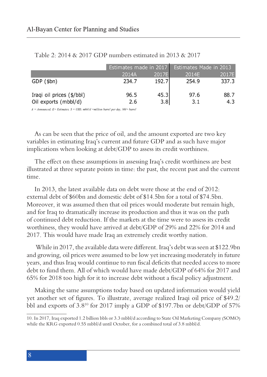|       |       | <b>Estimates Made in 2013</b> |                                                |  |
|-------|-------|-------------------------------|------------------------------------------------|--|
| 2014A |       | 2014E                         | 2017E                                          |  |
| 234.7 | 192.7 | 254.9                         | 337.3                                          |  |
| 96.5  | 45.3  | 97.6                          | 88.7<br>4.3                                    |  |
|       | 2.6   |                               | Estimates made in 2017<br>2017El<br>3.8<br>3.1 |  |

Table 2: 2014 & 2017 GDP numbers estimated in 2013 & 2017

 $A = Announced, E = Estimates, S = USD, mbbl/d = million barrel per day, bbl = barrel$ 

As can be seen that the price of oil, and the amount exported are two key variables in estimating Iraq's current and future GDP and as such have major implications when looking at debt/GDP to assess its credit worthiness.

The effect on these assumptions in assessing Iraq's credit worthiness are best illustrated at three separate points in time: the past, the recent past and the current time.

In 2013, the latest available data on debt were those at the end of 2012: external debt of \$60bn and domestic debt of \$14.5bn for a total of \$74.5bn. Moreover, it was assumed then that oil prices would moderate but remain high, and for Iraq to dramatically increase its production and thus it was on the path of continued debt reduction. If the markets at the time were to assess its credit worthiness, they would have arrived at debt/GDP of 29% and 22% for 2014 and 2017. This would have made Iraq an extremely credit worthy nation.

 While in 2017, the available data were different. Iraq's debt was seen at \$122.9bn and growing, oil prices were assumed to be low yet increasing moderately in future years, and thus Iraq would continue to run fiscal deficits that needed access to more debt to fund them. All of which would have made debt/GDP of 64% for 2017 and 65% for 2018 too high for it to increase debt without a fiscal policy adjustment.

Making the same assumptions today based on updated information would yield yet another set of figures. To illustrate, average realized Iraqi oil price of \$49.2/ bbl and exports of 3.810 for 2017 imply a GDP of \$197.7bn or debt/GDP of 57%

<sup>10.</sup> In 2017, Iraq exported 1.2 billion bbls or 3.3 mbbl/d according to State Oil Marketing Company (SOMO) while the KRG exported 0.55 mbbl/d until October, for a combined total of 3.8 mbbl/d.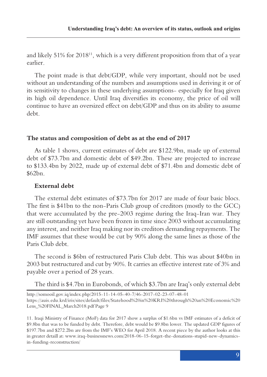and likely  $51\%$  for  $2018^{11}$ , which is a very different proposition from that of a year earlier.

The point made is that debt/GDP, while very important, should not be used without an understanding of the numbers and assumptions used in deriving it or of its sensitivity to changes in these underlying assumptions- especially for Iraq given its high oil dependence. Until Iraq diversifies its economy, the price of oil will continue to have an oversized effect on debt/GDP and thus on its ability to assume debt.

## **The status and composition of debt as at the end of 2017**

As table 1 shows, current estimates of debt are \$122.9bn, made up of external debt of \$73.7bn and domestic debt of \$49.2bn. These are projected to increase to \$133.4bn by 2022, made up of external debt of \$71.4bn and domestic debt of \$62bn.

### **External debt**

The external debt estimates of \$73.7bn for 2017 are made of four basic blocs. The first is \$41bn to the non-Paris Club group of creditors (mostly to the GCC) that were accumulated by the pre-2003 regime during the Iraq-Iran war. They are still outstanding yet have been frozen in time since 2003 without accumulating any interest, and neither Iraq making nor its creditors demanding repayments. The IMF assumes that these would be cut by 90% along the same lines as those of the Paris Club debt.

The second is \$6bn of restructured Paris Club debt. This was about \$40bn in 2003 but restructured and cut by 90%. It carries an effective interest rate of 3% and payable over a period of 28 years.

The third is \$4.7bn in Eurobonds, of which \$3.7bn are Iraq's only external debt

http://somooil.gov.iq/index.php/2015-11-14-05-40-7/46-2017-02-23-07-48-01 https://auis.edu.krd/iris/sites/default/files/Statehood%20in%20KRI%20through%20an%20Economic%20 Lens\_%20FINAL\_March2018.pdf Page 9

11. Iraqi Ministry of Finance (MoF) data for 2017 show a surplus of \$1.6bn vs IMF estimates of a deficit of \$9.8bn that was to be funded by debt. Therefore, debt would be \$9.8bn lower. The updated GDP figures of \$197.7bn and \$272.2bn are from the IMF's WEO for April 2018. A recent piece by the author looks at this in greater detaill at: www.iraq-businessnews.com/2018-06-15-forget-the-donations-stupid-new-dynamicsin-funding-reconstruction/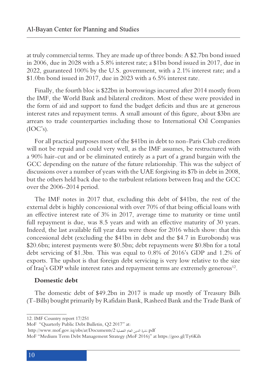at truly commercial terms. They are made up of three bonds: A \$2.7bn bond issued in 2006, due in 2028 with a 5.8% interest rate; a \$1bn bond issued in 2017, due in 2022, guaranteed 100% by the U.S. government, with a 2.1% interest rate; and a \$1.0bn bond issued in 2017, due in 2023 with a 6.5% interest rate.

Finally, the fourth bloc is \$22bn in borrowings incurred after 2014 mostly from the IMF, the World Bank and bilateral creditors. Most of these were provided in the form of aid and support to fund the budget deficits and thus are at generous interest rates and repayment terms. A small amount of this figure, about \$3bn are arrears to trade counterparties including those to International Oil Companies  $(IOC's).$ 

For all practical purposes most of the \$41bn in debt to non-Paris Club creditors will not be repaid and could very well, as the IMF assumes, be restructured with a 90% hair-cut and or be eliminated entirely as a part of a grand bargain with the GCC depending on the nature of the future relationship. This was the subject of discussions over a number of years with the UAE forgiving its \$7b in debt in 2008, but the others held back due to the turbulent relations between Iraq and the GCC over the 2006-2014 period.

The IMF notes in 2017 that, excluding this debt of \$41bn, the rest of the external debt is highly concessional with over 70% of that being official loans with an effective interest rate of 3% in 2017, average time to maturity or time until full repayment is due, was 8.5 years and with an effective maturity of 30 years. Indeed, the last available full year data were those for 2016 which show: that this concessional debt (excluding the \$41bn in debt and the \$4.7 in Eurobonds) was \$20.6bn; interest payments were \$0.5bn; debt repayments were \$0.8bn for a total debt servicing of \$1.3bn. This was equal to 0.8% of 2016's GDP and 1.2% of exports. The upshot is that foreign debt servicing is very low relative to the size of Iraq's GDP while interest rates and repayment terms are extremely generous<sup>12</sup>.

#### **Domestic debt**

The domestic debt of \$49.2bn in 2017 is made up mostly of Treasury Bills (T-Bills) bought primarily by Rafidain Bank, Rasheed Bank and the Trade Bank of

<sup>12.</sup> IMF Country report 17/251

MoF "Quarterly Public Debt Bulletin, Q2 2017" at:

http://www.mof.gov.iq/obs/ar/Documents/2 الفصلية العام الدين نشرة.pdf

MoF "Medium Term Debt Management Strategy (MoF 2016)" at https://goo.gl/Ty6Kih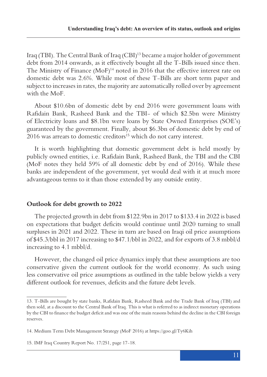Iraq (TBI). The Central Bank of Iraq (CBI)13 became a major holder of government debt from 2014 onwards, as it effectively bought all the T-Bills issued since then. The Ministry of Finance (MoF)<sup>14</sup> noted in 2016 that the effective interest rate on domestic debt was 2.6%. While most of these T-Bills are short term paper and subject to increases in rates, the majority are automatically rolled over by agreement with the MoF.

About \$10.6bn of domestic debt by end 2016 were government loans with Rafidain Bank, Rasheed Bank and the TBI- of which \$2.5bn were Ministry of Electricity loans and \$8.1bn were loans by State Owned Enterprises (SOE's) guaranteed by the government. Finally, about \$6.3bn of domestic debt by end of 2016 was arrears to domestic creditors<sup>15</sup> which do not carry interest.

It is worth highlighting that domestic government debt is held mostly by publicly owned entities, i.e. Rafidain Bank, Rasheed Bank, the TBI and the CBI (MoF notes they held 59% of all domestic debt by end of 2016). While these banks are independent of the government, yet would deal with it at much more advantageous terms to it than those extended by any outside entity.

# **Outlook for debt growth to 2022**

The projected growth in debt from \$122.9bn in 2017 to \$133.4 in 2022 is based on expectations that budget deficits would continue until 2020 turning to small surpluses in 2021 and 2022. These in turn are based on Iraqi oil price assumptions of \$45.3/bbl in 2017 increasing to \$47.1/bbl in 2022, and for exports of 3.8 mbbl/d increasing to 4.1 mbbl/d.

However, the changed oil price dynamics imply that these assumptions are too conservative given the current outlook for the world economy. As such using less conservative oil price assumptions as outlined in the table below yields a very different outlook for revenues, deficits and the future debt levels.

<sup>13.</sup> T-Bills are bought by state banks, Rafidain Bank, Rasheed Bank and the Trade Bank of Iraq (TBI) and then sold, at a discount to the Central Bank of Iraq. This is what is referred to as indirect monetary operations by the CBI to finance the budget deficit and was one of the main reasons behind the decline in the CBI foreign reserves.

<sup>14.</sup> Medium Term Debt Management Strategy (MoF 2016) at https://goo.gl/Ty6Kih

<sup>15.</sup> IMF Iraq Country Report No. 17/251, page 17-18.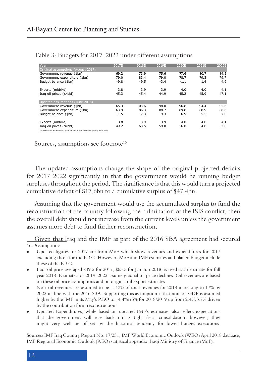| Year                                                                                     | 2017E  | 2018E  | 2019E  | 2020E  | 2021E | 2022E |
|------------------------------------------------------------------------------------------|--------|--------|--------|--------|-------|-------|
| Original assumptions (August 2017)                                                       |        |        |        |        |       |       |
| Government revenue (\$bn)                                                                | 69.2   | 73.9   | 75.6   | 77.6   | 80.7  | 84.5  |
| Government expenditure (\$bn)                                                            | 79.0   | 83.4   | 79.0   | 78.7   | 79.3  | 79.7  |
| Budget balance (\$bn)                                                                    | $-9.8$ | $-9.5$ | $-3.4$ | $-1.1$ | 1.4   | 4.9   |
| Exports (mbbl/d)                                                                         | 3.8    | 3.9    | 3.9    | 4.0    | 4.0   | 4.1   |
|                                                                                          | 45.3   | 45.4   | 44.9   | 45.2   | 45.9  | 47.1  |
| Iraq oil prices (\$/bbl)                                                                 |        |        |        |        |       |       |
| Updated assumptions (June 2018)                                                          |        |        |        |        |       |       |
| Government revenue (\$bn)                                                                | 65.3   | 103.6  | 98.0   | 96.8   | 94.4  | 95.6  |
| Government expenditure (\$bn)                                                            | 63.9   | 86.3   | 88.7   | 89.8   | 88.9  | 88.6  |
| Budget balance (\$bn)                                                                    | 1.5    | 17.3   | 9.3    | 6.9    | 5.5   | 7.0   |
| Exports (mbbl/d)                                                                         | 3.8    | 3.9    | 3.9    | 4.0    | 4.0   | 4.1   |
| Iraq oil prices (\$/bbl)                                                                 | 49.2   | 63.5   | 59.0   | 56.0   | 54.0  | 53.0  |
|                                                                                          |        |        |        |        |       |       |
| $A = Announced, E = E stimates, S = USD, mbbl/d = million barrels per day, bbl = barrel$ |        |        |        |        |       |       |

Table 3: Budgets for 2017-2022 under different assumptions

Sources, assumptions see footnote<sup>16</sup>

The updated assumptions change the shape of the original projected deficits for 2017-2022 significantly in that the government would be running budget surpluses throughout the period. The significance is that this would turn a projected cumulative deficit of \$17.6bn to a cumulative surplus of \$47.4bn.

Assuming that the government would use the accumulated surplus to fund the reconstruction of the country following the culmination of the ISIS conflict, then the overall debt should not increase from the current levels unless the government assumes more debt to fund further reconstruction.

Given that Iraq and the IMF as part of the 2016 SBA agreement had secured 16. Assumptions:

- • Updated figures for 2017 are from MoF which show revenues and expenditures for 2017 excluding those for the KRG. However, MoF and IMF estimates and planed budget include those of the KRG.
- Iraqi oil price averaged \$49.2 for 2017, \$63.5 for Jan-Jun 2018, is used as an estimate for full year 2018. Estimates for 2019-2022 assume gradual oil price declines. Oil revenues are based on these oil price assumptions and on original oil export estimates.
- Non-oil revenues are assumed to be at 13% of total revenues for 2018 increasing to 17% by 2022 in-line with the 2016 SBA. Supporting this assumption is that non-oil GDP is assumed higher by the IMF in its May's REO to +4.4%/+5% for 2018/2019 up from 2.4%/3.7% driven by the contribution form reconstruction.
- • Updated Expenditures, while based on updated IMF's estimates, also reflect expectations that the government will ease back on its tight fiscal consolidation, however, they might very well be off-set by the historical tendency for lower budget executions.

Sources: IMF Iraq Country Report No. 17/251, IMF World Economic Outlook (WEO) April 2018 database, IMF Regional Economic Outlook (REO) statistical appendix, Iraqi Ministry of Finance (MoF).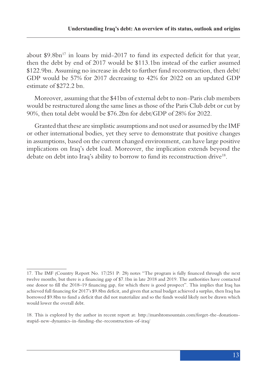about  $$9.8\text{bn}^{17}$  in loans by mid-2017 to fund its expected deficit for that year, then the debt by end of 2017 would be \$113.1bn instead of the earlier assumed \$122.9bn. Assuming no increase in debt to further fund reconstruction, then debt/ GDP would be 57% for 2017 decreasing to 42% for 2022 on an updated GDP estimate of \$272.2 bn.

Moreover, assuming that the \$41bn of external debt to non-Paris club members would be restructured along the same lines as those of the Paris Club debt or cut by 90%, then total debt would be \$76.2bn for debt/GDP of 28% for 2022.

Granted that these are simplistic assumptions and not used or assumed by the IMF or other international bodies, yet they serve to demonstrate that positive changes in assumptions, based on the current changed environment, can have large positive implications on Iraq's debt load. Moreover, the implication extends beyond the debate on debt into Iraq's ability to borrow to fund its reconstruction drive<sup>18</sup>.

<sup>17.</sup> The IMF (Country Report No. 17/251 P: 28) notes "The program is fully financed through the next twelve months, but there is a financing gap of \$7.1bn in late 2018 and 2019. The authorities have contacted one donor to fill the 2018–19 financing gap, for which there is good prospect". This implies that Iraq has achieved full financing for 2017's \$9.8bn deficit, and given that actual budget achieved a surplus, then Iraq has borrowed \$9.8bn to fund a deficit that did not materialize and so the funds would likely not be drawn which would lower the overall debt.

<sup>18.</sup> This is explored by the author in recent report at: http://marshtomountain.com/forget-the-donationsstupid-new-dynamics-in-funding-the-reconstruction-of-iraq/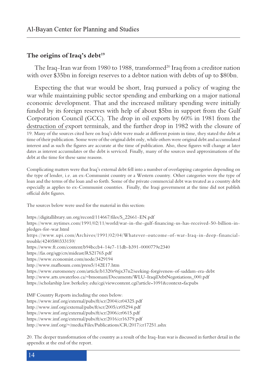#### The origins of Iraq's debt<sup>19</sup>

The Iraq-Iran war from 1980 to 1988, transformed $20$  Iraq from a creditor nation with over \$35bn in foreign reserves to a debtor nation with debts of up to \$80bn.

Expecting the that war would be short, Iraq pursued a policy of waging the war while maintaining public sector spending and embarking on a major national economic development. That and the increased military spending were initially funded by its foreign reserves with help of about \$5bn in support from the Gulf Corporation Council (GCC). The drop in oil exports by 60% in 1981 from the destruction of export terminals, and the further drop in 1982 with the closure of 19. Many of the sources cited here on Iraq's debt were made at different points in time, they stated the debt at time of their publication. Some were of the original debt only, while others were original debt and accumulated interest and as such the figures are accurate at the time of publication. Also, these figures will change at later dates as interest accumulates or the debt is serviced. Finally, many of the sources used approximations of the debt at the time for these same reasons.

Complicating matters were that Iraq's external debt fell into a number of overlapping categories depending on the type of lender, i.e. an ex-Communist country or a Western country. Other categories were the type of loan and the terms of the loan and so forth. Some of the private commercial debt was treated as a country debt especially as applies to ex-Communist countries. Finally, the Iraqi government at the time did not publish official debt figures.

The sources below were used for the material in this section:

https://digitallibrary.un.org/record/114667/files/S\_22661-EN.pdf https://www.nytimes.com/1991/02/11/world/war-in-the-gulf-financing-us-has-received-50-billion-inpledges-for-war.html https://www.upi.com/Archives/1991/02/04/Whatever-outcome-of-war-Iraq-in-deep-financialtrouble/4240580333159/ https://www.ft.com/content/b94bccb4-14e7-11db-b391-0000779e2340 https://fas.org/sgp/crs/mideast/RS21765.pdf https://www.economist.com/node/3429194 http://www.mafhoum.com/press5/142E17.htm https://www.euromoney.com/article/b1320r9njx37n2/seeking-forgiveness-of-saddam-era-debt http://www.arts.uwaterloo.ca/~bmomani/Documents/WLU-IraqiDebtNegotiations\_000.pdf https://scholarship.law.berkeley.edu/cgi/viewcontent.cgi?article=1091&context=facpubs

IMF Country Reports including the ones below: https://www.imf.org/external/pubs/ft/scr/2004/cr04325.pdf http://www.imf.org/external/pubs/ft/scr/2005/cr05294.pdf https://www.imf.org/external/pubs/ft/scr/2006/cr0615.pdf https://www.imf.org/external/pubs/ft/scr/2016/cr16379.pdf http://www.imf.org/~/media/Files/Publications/CR/2017/cr17251.ashx

20. The deeper transformation of the country as a result of the Iraq-Iran war is discussed in further detail in the appendix at the end of the report.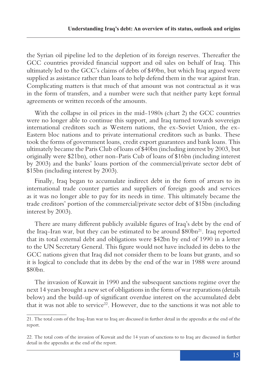the Syrian oil pipeline led to the depletion of its foreign reserves. Thereafter the GCC countries provided financial support and oil sales on behalf of Iraq. This ultimately led to the GCC's claims of debts of \$49bn, but which Iraq argued were supplied as assistance rather than loans to help defend them in the war against Iran. Complicating matters is that much of that amount was not contractual as it was in the form of transfers, and a number were such that neither party kept formal agreements or written records of the amounts.

With the collapse in oil prices in the mid-1980s (chart 2) the GCC countries were no longer able to continue this support, and Iraq turned towards sovereign international creditors such as Western nations, the ex-Soviet Union, the ex-Eastern bloc nations and to private international creditors such as banks. These took the forms of government loans, credit export guarantees and bank loans. This ultimately became the Paris Club of loans of \$40bn (including interest by 2003, but originally were \$21bn), other non-Paris Cub of loans of \$16bn (including interest by 2003) and the banks' loans portion of the commercial/private sector debt of \$15bn (including interest by 2003).

Finally, Iraq began to accumulate indirect debt in the form of arrears to its international trade counter parties and suppliers of foreign goods and services as it was no longer able to pay for its needs in time. This ultimately became the trade creditors' portion of the commercial/private sector debt of \$15bn (including interest by 2003).

There are many different publicly available figures of Iraq's debt by the end of the Iraq-Iran war, but they can be estimated to be around  $$80bn<sup>21</sup>$ . Iraq reported that its total external debt and obligations were \$42bn by end of 1990 in a letter to the UN Secretary General. This figure would not have included its debts to the GCC nations given that Iraq did not consider them to be loans but grants, and so it is logical to conclude that its debts by the end of the war in 1988 were around \$80bn.

The invasion of Kuwait in 1990 and the subsequent sanctions regime over the next 14 years brought a new set of obligations in the form of war reparations (details below) and the build-up of significant overdue interest on the accumulated debt that it was not able to service<sup>22</sup>. However, due to the sanctions it was not able to

<sup>21.</sup> The total costs of the Iraq-Iran war to Iraq are discussed in further detail in the appendix at the end of the report.

<sup>22.</sup> The total costs of the invasion of Kuwait and the 14 years of sanctions to to Iraq are discussed in further detail in the appendix at the end of the report.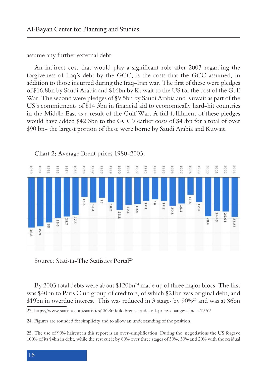assume any further external debt.

An indirect cost that would play a significant role after 2003 regarding the forgiveness of Iraq's debt by the GCC, is the costs that the GCC assumed, in addition to those incurred during the Iraq-Iran war. The first of these were pledges of \$16.8bn by Saudi Arabia and \$16bn by Kuwait to the US for the cost of the Gulf War. The second were pledges of \$9.5bn by Saudi Arabia and Kuwait as part of the US's commitments of \$14.3bn in financial aid to economically hard-hit countries in the Middle East as a result of the Gulf War. A full fulfilment of these pledges would have added \$42.3bn to the GCC's earlier costs of \$49bn for a total of over \$90 bn- the largest portion of these were borne by Saudi Arabia and Kuwait.



Chart 2: Average Brent prices 1980-2003.

Source: Statista-The Statistics Portal23

By 2003 total debts were about \$120bn<sup>24</sup> made up of three major blocs. The first was \$40bn to Paris Club group of creditors, of which \$21bn was original debt, and \$19bn in overdue interest. This was reduced in 3 stages by 90%25 and was at \$6bn

<sup>23.</sup> https://www.statista.com/statistics/262860/uk-brent-crude-oil-price-changes-since-1976/

<sup>24.</sup> Figures are rounded for simplicity and to allow an understanding of the position.

<sup>25.</sup> The use of 90% haircut in this report is an over-simplification. During the negotiations the US forgave 100% of its \$4bn in debt, while the rest cut it by 80% over three stages of 30%, 30% and 20% with the residual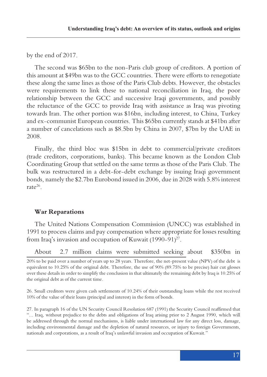by the end of 2017.

The second was \$65bn to the non-Paris club group of creditors. A portion of this amount at \$49bn was to the GCC countries. There were efforts to renegotiate these along the same lines as those of the Paris Club debts. However, the obstacles were requirements to link these to national reconciliation in Iraq, the poor relationship between the GCC and successive Iraqi governments, and possibly the reluctance of the GCC to provide Iraq with assistance as Iraq was pivoting towards Iran. The other portion was \$16bn, including interest, to China, Turkey and ex-communist European countries. This \$65bn currently stands at \$41bn after a number of cancelations such as \$8.5bn by China in 2007, \$7bn by the UAE in 2008.

Finally, the third bloc was \$15bn in debt to commercial/private creditors (trade creditors, corporations, banks). This became known as the London Club Coordinating Group that settled on the same terms as those of the Paris Club. The bulk was restructured in a debt-for-debt exchange by issuing Iraqi government bonds, namely the \$2.7bn Eurobond issued in 2006, due in 2028 with 5.8% interest rate $26$ 

# **War Reparations**

The United Nations Compensation Commission (UNCC) was established in 1991 to process claims and pay compensation where appropriate for losses resulting from Iraq's invasion and occupation of Kuwait  $(1990-91)^{27}$ .

About 2.7 million claims were submitted seeking about \$350bn in

26. Small creditors were given cash settlements of 10.24% of their outstanding loans while the rest received 10% of the value of their loans (principal and interest) in the form of bonds.

27. In paragraph 16 of the UN Security Council Resolution 687 (1991) the Security Council reaffirmed that "... Iraq, without prejudice to the debts and obligations of Iraq arising prior to 2 August 1990, which will be addressed through the normal mechanisms, is liable under international law for any direct loss, damage, including environmental damage and the depletion of natural resources, or injury to foreign Governments, nationals and corporations, as a result of Iraq's unlawful invasion and occupation of Kuwait."

<sup>20%</sup> to be paid over a number of years up to 28 years. Therefore, the net-present value (NPV) of the debt is equivalent to 10.25% of the original debt. Therefore, the use of 90% (89.75% to be precise) hair cut glosses over these details in order to simplify the conclusion in that ultimately the remaining debt by Iraq is 10.25% of the original debt as of the current time.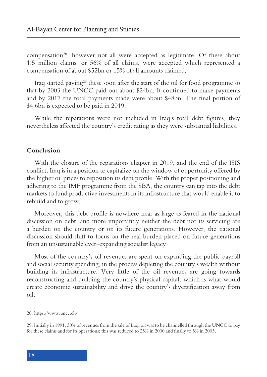compensation<sup>28</sup>, however not all were accepted as legitimate. Of these about 1.5 million claims, or 56% of all claims, were accepted which represented a compensation of about \$52bn or 15% of all amounts claimed.

Iraq started paying29 these soon after the start of the oil for food programme so that by 2003 the UNCC paid out about \$24bn. It continued to make payments and by 2017 the total payments made were about \$48bn. The final portion of \$4.6bn is expected to be paid in 2019.

While the reparations were not included in Iraq's total debt figures, they nevertheless affected the country's credit rating as they were substantial liabilities.

#### **Conclusion**

With the closure of the reparations chapter in 2019, and the end of the ISIS conflict, Iraq is in a position to capitalize on the window of opportunity offered by the higher oil prices to reposition its debt profile. With the proper positioning and adhering to the IMF programme from the SBA, the country can tap into the debt markets to fund productive investments in its infrastructure that would enable it to rebuild and to grow.

Moreover, this debt profile is nowhere near as large as feared in the national discussion on debt, and more importantly neither the debt nor its servicing are a burden on the country or on its future generations. However, the national discussion should shift to focus on the real burden placed on future generations from an unsustainable ever-expanding socialist legacy.

Most of the country's oil revenues are spent on expanding the public payroll and social security spending, in the process depleting the country's wealth without building its infrastructure. Very little of the oil revenues are going towards reconstructing and building the country's physical capital, which is what would create economic sustainability and drive the country's diversification away from oil.

<sup>28.</sup> https://www.uncc.ch/

<sup>29.</sup> Initially in 1991, 30% of revenues from the sale of Iraqi oil was to be channelled through the UNCC to pay for these claims and for its operations; this was reduced to 25% in 2000 and finally to 5% in 2003.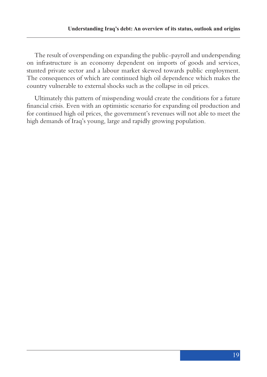The result of overspending on expanding the public-payroll and underspending on infrastructure is an economy dependent on imports of goods and services, stunted private sector and a labour market skewed towards public employment. The consequences of which are continued high oil dependence which makes the country vulnerable to external shocks such as the collapse in oil prices.

Ultimately this pattern of misspending would create the conditions for a future financial crisis. Even with an optimistic scenario for expanding oil production and for continued high oil prices, the government's revenues will not able to meet the high demands of Iraq's young, large and rapidly growing population.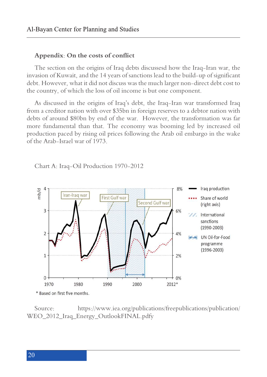#### **Appendix: On the costs of conflict**

The section on the origins of Iraq debts discussesd how the Iraq-Iran war, the invasion of Kuwait, and the 14 years of sanctions lead to the build-up of significant debt. However, what it did not discuss was the much larger non-direct debt cost to the country, of which the loss of oil income is but one component.

As discussed in the origins of Iraq's debt, the Iraq-Iran war transformed Iraq from a creditor nation with over \$35bn in foreign reserves to a debtor nation with debts of around \$80bn by end of the war. However, the transformation was far more fundamental than that. The economy was booming led by increased oil production paced by rising oil prices following the Arab oil embargo in the wake of the Arab-Israel war of 1973.

Chart A: Iraq-Oil Production 1970-2012



Source: https://www.iea.org/publications/freepublications/publication/ WEO\_2012\_Iraq\_Energy\_OutlookFINAL.pdfy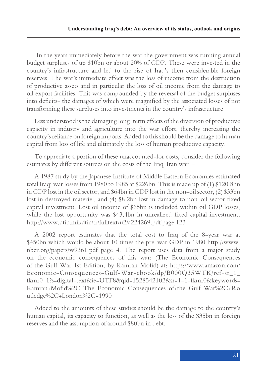In the years immediately before the war the government was running annual budget surpluses of up \$10bn or about 20% of GDP. These were invested in the country's infrastructure and led to the rise of Iraq's then considerable foreign reserves. The war's immediate effect was the loss of income from the destruction of productive assets and in particular the loss of oil income from the damage to oil export facilities. This was compounded by the reversal of the budget surpluses into deficits- the damages of which were magnified by the associated losses of not transforming these surpluses into investments in the country's infrastructure.

Less understood is the damaging long-term effects of the diversion of productive capacity in industry and agriculture into the war effort, thereby increasing the country's reliance on foreign imports. Added to this should be the damage to human capital from loss of life and ultimately the loss of human productive capacity.

To appreciate a portion of these unaccounted-for costs, consider the following estimates by different sources on the costs of the Iraq-Iran war: -

A 1987 study by the Japanese Institute of Middle Eastern Economies estimated total Iraqi war losses from 1980 to 1985 at \$226bn. This is made up of (1) \$120.8bn in GDP lost in the oil sector, and \$64bn in GDP lost in the non-oil sector, (2) \$33bn lost in destroyed materiel, and (4) \$8.2bn lost in damage to non-oil sector fixed capital investment. Lost oil income of \$65bn is included within oil GDP losses, while the lost opportunity was \$43.4bn in unrealized fixed capital investment. http://www.dtic.mil/dtic/tr/fulltext/u2/a224269.pdf page 123

A 2002 report estimates that the total cost to Iraq of the 8-year war at \$450bn which would be about 10 times the pre-war GDP in 1980 http://www. nber.org/papers/w9361.pdf page 4. The report uses data from a major study on the economic consequences of this war: (The Economic Consequences of the Gulf War 1st Edition, by Kamran Mofid) at: https://www.amazon.com/ Economic-Consequences-Gulf-War-ebook/dp/B000Q35WTK/ref=sr\_1\_ fkmr0\_1?s=digital-text&ie=UTF8&qid=1528542102&sr=1-1-fkmr0&keywords= Kamran+Mofid%2C+The+Economic+Consequences+of+the+Gulf+War%2C+Ro utledge%2C+London%2C+1990

Added to the amounts of these studies should be the damage to the country's human capital, its capacity to function, as well as the loss of the \$35bn in foreign reserves and the assumption of around \$80bn in debt.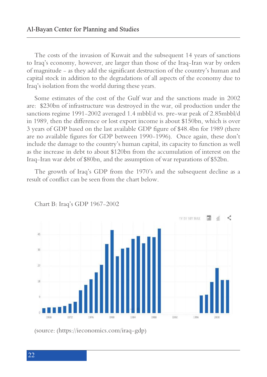The costs of the invasion of Kuwait and the subsequent 14 years of sanctions to Iraq's economy, however, are larger than those of the Iraq-Iran war by orders of magnitude - as they add the significant destruction of the country's human and capital stock in addition to the degradations of all aspects of the economy due to Iraq's isolation from the world during these years.

Some estimates of the cost of the Gulf war and the sanctions made in 2002 are: \$230bn of infrastructure was destroyed in the war, oil production under the sanctions regime 1991-2002 averaged 1.4 mbbl/d vs. pre-war peak of 2.85mbbl/d in 1989, then the difference or lost export income is about \$150bn, which is over 3 years of GDP based on the last available GDP figure of \$48.4bn for 1989 (there are no available figures for GDP between 1990-1996). Once again, these don't include the damage to the country's human capital, its capacity to function as well as the increase in debt to about \$120bn from the accumulation of interest on the Iraq-Iran war debt of \$80bn, and the assumption of war reparations of \$52bn.

The growth of Iraq's GDP from the 1970's and the subsequent decline as a result of conflict can be seen from the chart below.



Chart B: Iraq's GDP 1967-2002

(source: (https://ieconomics.com/iraq-gdp)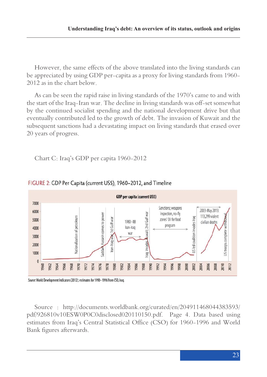However, the same effects of the above translated into the living standards can be appreciated by using GDP per-capita as a proxy for living standards from 1960- 2012 as in the chart below.

As can be seen the rapid raise in living standards of the 1970's came to and with the start of the Iraq-Iran war. The decline in living standards was off-set somewhat by the continued socialist spending and the national development drive but that eventually contributed led to the growth of debt. The invasion of Kuwait and the subsequent sanctions had a devastating impact on living standards that erased over 20 years of progress.

Chart C: Iraq's GDP per capita 1960-2012



## FIGURE 2: GDP Per Capita (current USS), 1960-2012, and Timeline

Source : http://documents.worldbank.org/curated/en/204911468044383593/ pdf/926810v10ESW0P0C0disclosed020110150.pdf. Page 4. Data based using estimates from Iraq's Central Statistical Office (CSO) for 1960-1996 and World Bank figures afterwards.